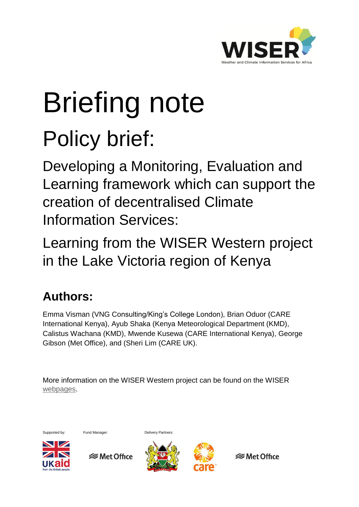

# Briefing note Policy brief:

Developing a Monitoring, Evaluation and Learning framework which can support the creation of decentralised Climate Information Services:

Learning from the WISER Western project in the Lake Victoria region of Kenya

# **Authors:**

Emma Visman (VNG Consulting/King's College London), Brian Oduor (CARE International Kenya), Ayub Shaka (Kenya Meteorological Department (KMD), Calistus Wachana (KMD), Mwende Kusewa (CARE International Kenya), George Gibson (Met Office), and (Sheri Lim (CARE UK).

More information on the WISER Western project can be found on the WISER [webpages.](http://www.metoffice.gov.uk/about-us/what/international/projects/wiser/cis-kenya)



 **⊗Met Office** 





**<del></del>** Met Office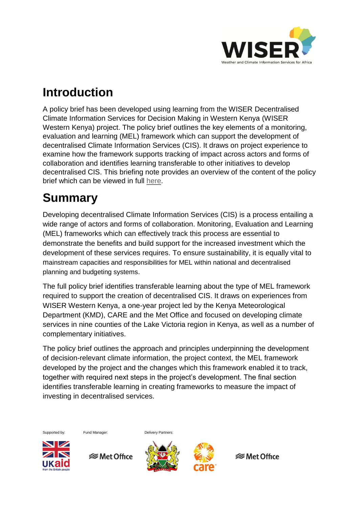

#### **Introduction**

A policy brief has been developed using learning from the WISER Decentralised Climate Information Services for Decision Making in Western Kenya (WISER Western Kenya) project. The policy brief outlines the key elements of a monitoring, evaluation and learning (MEL) framework which can support the development of decentralised Climate Information Services (CIS). It draws on project experience to examine how the framework supports tracking of impact across actors and forms of collaboration and identifies learning transferable to other initiatives to develop decentralised CIS. This briefing note provides an overview of the content of the policy brief which can be viewed in full [here.](http://www.metoffice.gov.uk/binaries/content/assets/mohippo/pdf/international/wiser/wiser-western-mel-policy-brief.pdf)

## **Summary**

Developing decentralised Climate Information Services (CIS) is a process entailing a wide range of actors and forms of collaboration. Monitoring, Evaluation and Learning (MEL) frameworks which can effectively track this process are essential to demonstrate the benefits and build support for the increased investment which the development of these services requires. To ensure sustainability, it is equally vital to mainstream capacities and responsibilities for MEL within national and decentralised planning and budgeting systems.

The full policy brief identifies transferable learning about the type of MEL framework required to support the creation of decentralised CIS. It draws on experiences from WISER Western Kenya, a one-year project led by the Kenya Meteorological Department (KMD), CARE and the Met Office and focused on developing climate services in nine counties of the Lake Victoria region in Kenya, as well as a number of complementary initiatives.

The policy brief outlines the approach and principles underpinning the development of decision-relevant climate information, the project context, the MEL framework developed by the project and the changes which this framework enabled it to track, together with required next steps in the project's development. The final section identifies transferable learning in creating frameworks to measure the impact of investing in decentralised services.

Supported by: Fund Manager: Delivery Partners:



**<del></del>** Met Office





**<del></del>** Met Office